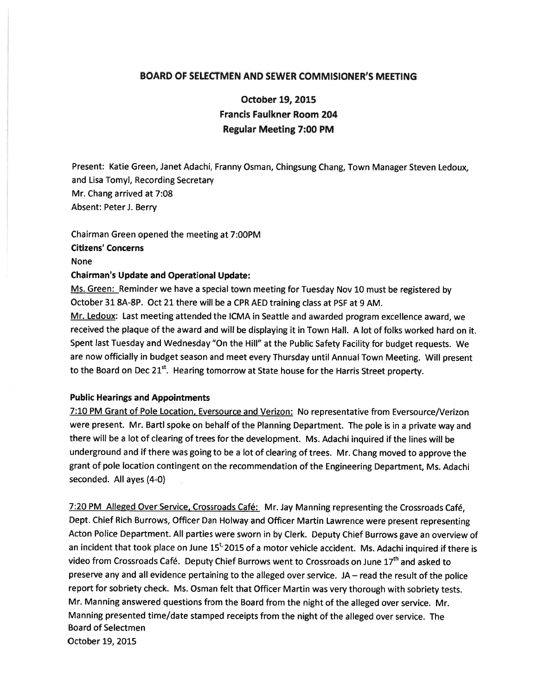## BOARD OF SELECTMEN AND SEWER COMMISIONER'S MEETING

October 19, 2015 Francis Faulkner Room 204 Regular Meeting 7:00 PM

Present: Katie Green, Janet Adachi, Franny Osman, Chingsung Chang, Town Manager Steven Ledoux, and Lisa Tomyl, Recording Secretary Mr. Chang arrived at 7:08 Absent: Peter J. Berry

Chairman Green opened the meeting at 7:00PM Citizens' Concerns None

#### Chairman's Update and Operational Update:

Ms. Green: Reminder we have a special town meeting for Tuesday Nov 10 must be registered by October 31 8A-8P. Oct <sup>21</sup> there will be <sup>a</sup> CPR AED training class at PSF at 9 AM.

Mr. Ledoux: Last meeting attended the ICMA in Seattle and awarded program excellence award, we received the plaque of the award and will be displaying it in Town Hall. A lot of folks worked hard on it. Spent last Tuesday and Wednesday "On the Hill" at the Public Safety Facility for budget requests. We are now officially in budget season and meet every Thursday until Annual Town Meeting. Will presen<sup>t</sup> to the Board on Dec  $21^{st}$ . Hearing tomorrow at State house for the Harris Street property.

### Public Hearings and Appointments

7:10 PM Grant of Pole Location, Eversource and Verizon: No representative from Eversource/Verizon were present. Mr. Bartl spoke on behalf of the Planning Department. The pole is in <sup>a</sup> private way and there will be <sup>a</sup> lot of clearing of trees for the development. Ms. Adachi inquired if the lines will be underground and if there was going to be <sup>a</sup> lot of clearing of trees. Mr. Chang moved to approve the gran<sup>t</sup> of pole location contingent on the recommendation of the Engineering Department, Ms. Adachi seconded. All ayes (4-0)

7:20 PM\_Alleged Over Service, Crossroads Café: Mr. Jay Manning representing the Crossroads Café, Dept. Chief Rich Burrows, Officer Dan Holway and Officer Martin Lawrence were presen<sup>t</sup> representing Acton Police Department. All parties were sworn in by Clerk. Deputy Chief Burrows gave an overview of an incident that took place on June  $15<sup>t</sup>$  2015 of a motor vehicle accident. Ms. Adachi inquired if there is video from Crossroads Café. Deputy Chief Burrows went to Crossroads on June 17<sup>th</sup> and asked to preserve any and all evidence pertaining to the alleged over service. JA— read the result of the police repor<sup>t</sup> for sobriety check. Ms. Osman felt that Officer Martin was very thorough with sobriety tests. Mr. Manning answered questions from the Board from the night of the alleged over service. Mr. Manning presented time/date stamped receipts from the night of the alleged over service. The Board of Selectmen October 19, 2015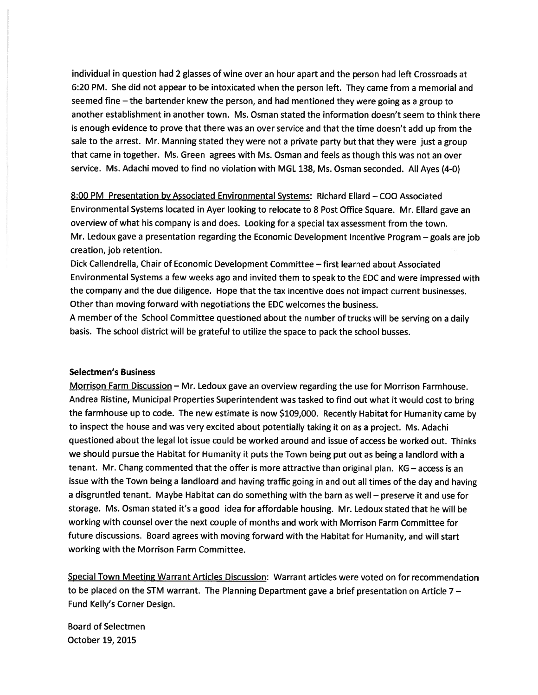individual in question had <sup>2</sup> glasses of wine over an hour apar<sup>t</sup> and the person had left Crossroads at 6:20 PM. She did not appear to be intoxicated when the person left. They came from <sup>a</sup> memorial and seemed fine — the bartender knew the person, and had mentioned they were going as <sup>a</sup> group to another establishment in another town. Ms. Osman stated the information doesn't seem to think there is enoug<sup>h</sup> evidence to prove that there was an over service and that the time doesn't add up from the sale to the arrest. Mr. Manning stated they were not <sup>a</sup> private party but that they were just <sup>a</sup> group that came in together. Ms. Green agrees with Ms. Osman and feels as though this was not an over service. Ms. Adachi moved to find no violation with MGL 138, Ms. Osman seconded. All Ayes (4-0)

8:00 PM Presentation by Associated Environmental Systems: Richard Ellard — COO Associated Environmental Systems located in Ayer looking to relocate to <sup>8</sup> Post Office Square. Mr. Ellard gave an overview of what his company is and does. Looking for <sup>a</sup> special tax assessment from the town. Mr. Ledoux gave <sup>a</sup> presentation regarding the Economic Development Incentive Program — goals are job creation, job retention.

Dick Callendrella, Chair of Economic Development Committee — first learned about Associated Environmental Systems <sup>a</sup> few weeks ago and invited them to spea<sup>k</sup> to the EDC and were impressed with the company and the due diligence. Hope that the tax incentive does not impact current businesses. Other than moving forward with negotiations the EDC welcomes the business.

<sup>A</sup> member of the School Committee questioned about the number of trucks will be serving on <sup>a</sup> daily basis. The school district will be grateful to utilize the space to pac<sup>k</sup> the school busses.

#### Selectmen's Business

Morrison Farm Discussion — Mr. Ledoux gave an overview regarding the use for Morrison Farmhouse. Andrea Ristine, Municipal Properties Superintendent was tasked to find out what it would cost to bring the farmhouse up to code. The new estimate is now \$109,000. Recently Habitat for Humanity came by to inspect the house and was very excited about potentially taking it on as <sup>a</sup> project. Ms. Adachi questioned about the legal lot issue could be worked around and issue of access be worked out. Thinks we should pursue the Habitat for Humanity it puts the Town being pu<sup>t</sup> out as being <sup>a</sup> landlord with <sup>a</sup> tenant. Mr. Chang commented that the offer is more attractive than original <sup>p</sup>lan. KG — access is an issue with the Town being <sup>a</sup> landloard and having traffic going in and out all times of the day and having <sup>a</sup> disgruntled tenant. Maybe Habitat can do something with the barn as well — preserve it and use for storage. Ms. Osman stated it's <sup>a</sup> good idea for affordable housing. Mr. Ledoux stated that he will be working with counsel over the next couple of months and work with Morrison Farm Committee for future discussions. Board agrees with moving forward with the Habitat for Humanity, and will start working with the Morrison Farm Committee.

Special Town Meeting Warrant Articles Discussion: Warrant articles were voted on for recommendation to be <sup>p</sup>laced on the STM warrant. The Planning Department gave <sup>a</sup> brief presentation on Article <sup>7</sup> — Fund Kelly's Corner Design.

Board of Selectmen October 19, 2015